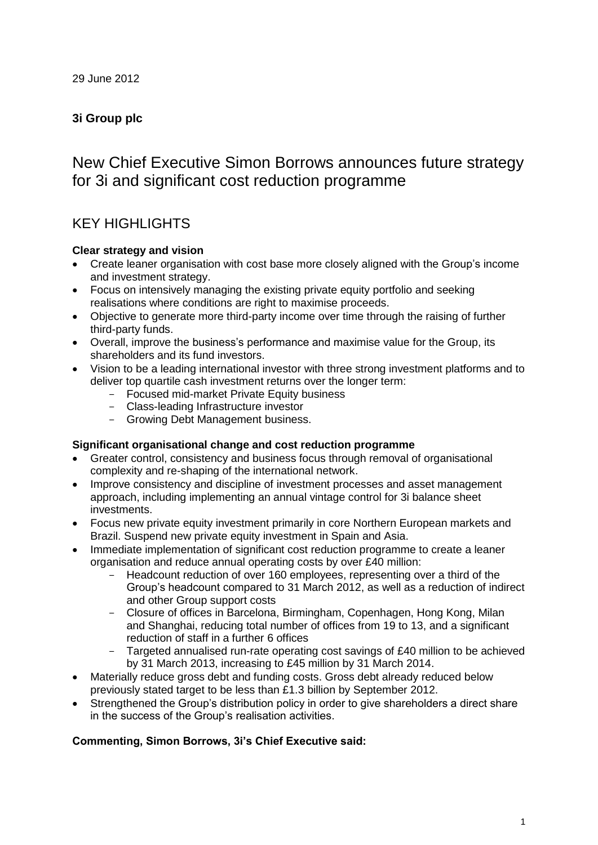### **3i Group plc**

# New Chief Executive Simon Borrows announces future strategy for 3i and significant cost reduction programme

### KEY HIGHLIGHTS

### **Clear strategy and vision**

- Create leaner organisation with cost base more closely aligned with the Group's income and investment strategy.
- Focus on intensively managing the existing private equity portfolio and seeking realisations where conditions are right to maximise proceeds.
- Objective to generate more third-party income over time through the raising of further third-party funds.
- Overall, improve the business's performance and maximise value for the Group, its shareholders and its fund investors.
- Vision to be a leading international investor with three strong investment platforms and to deliver top quartile cash investment returns over the longer term:
	- Focused mid-market Private Equity business
	- Class-leading Infrastructure investor
	- Growing Debt Management business.

### **Significant organisational change and cost reduction programme**

- Greater control, consistency and business focus through removal of organisational complexity and re-shaping of the international network.
- Improve consistency and discipline of investment processes and asset management approach, including implementing an annual vintage control for 3i balance sheet investments.
- Focus new private equity investment primarily in core Northern European markets and Brazil. Suspend new private equity investment in Spain and Asia.
- Immediate implementation of significant cost reduction programme to create a leaner organisation and reduce annual operating costs by over £40 million:
	- Headcount reduction of over 160 employees, representing over a third of the Group's headcount compared to 31 March 2012, as well as a reduction of indirect and other Group support costs
	- Closure of offices in Barcelona, Birmingham, Copenhagen, Hong Kong, Milan and Shanghai, reducing total number of offices from 19 to 13, and a significant reduction of staff in a further 6 offices
	- Targeted annualised run-rate operating cost savings of £40 million to be achieved by 31 March 2013, increasing to £45 million by 31 March 2014.
- Materially reduce gross debt and funding costs. Gross debt already reduced below previously stated target to be less than £1.3 billion by September 2012.
- Strengthened the Group's distribution policy in order to give shareholders a direct share in the success of the Group's realisation activities.

### **Commenting, Simon Borrows, 3i's Chief Executive said:**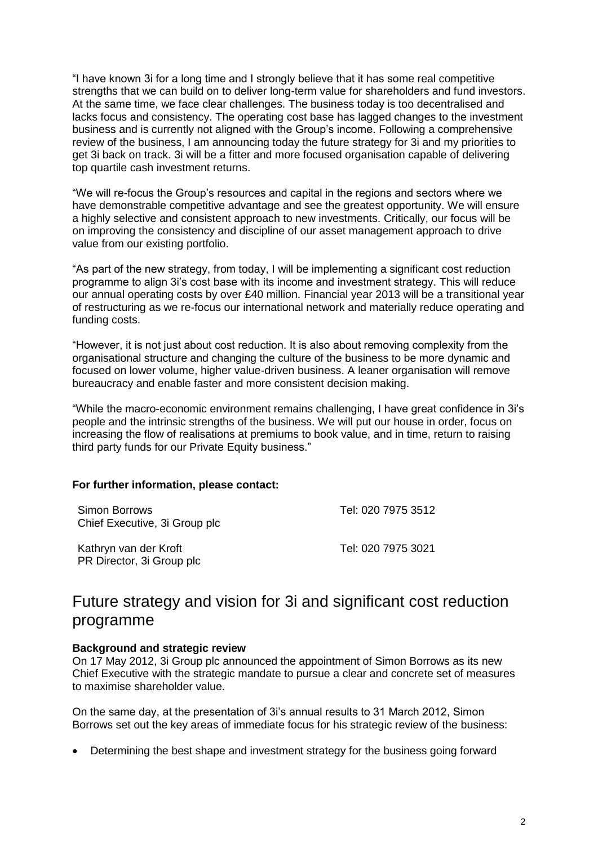"I have known 3i for a long time and I strongly believe that it has some real competitive strengths that we can build on to deliver long-term value for shareholders and fund investors. At the same time, we face clear challenges. The business today is too decentralised and lacks focus and consistency. The operating cost base has lagged changes to the investment business and is currently not aligned with the Group's income. Following a comprehensive review of the business, I am announcing today the future strategy for 3i and my priorities to get 3i back on track. 3i will be a fitter and more focused organisation capable of delivering top quartile cash investment returns.

"We will re-focus the Group's resources and capital in the regions and sectors where we have demonstrable competitive advantage and see the greatest opportunity. We will ensure a highly selective and consistent approach to new investments. Critically, our focus will be on improving the consistency and discipline of our asset management approach to drive value from our existing portfolio.

"As part of the new strategy, from today, I will be implementing a significant cost reduction programme to align 3i's cost base with its income and investment strategy. This will reduce our annual operating costs by over £40 million. Financial year 2013 will be a transitional year of restructuring as we re-focus our international network and materially reduce operating and funding costs.

"However, it is not just about cost reduction. It is also about removing complexity from the organisational structure and changing the culture of the business to be more dynamic and focused on lower volume, higher value-driven business. A leaner organisation will remove bureaucracy and enable faster and more consistent decision making.

"While the macro-economic environment remains challenging, I have great confidence in 3i's people and the intrinsic strengths of the business. We will put our house in order, focus on increasing the flow of realisations at premiums to book value, and in time, return to raising third party funds for our Private Equity business."

### **For further information, please contact:**

| Simon Borrows<br>Chief Executive, 3i Group plc     | Tel: 020 7975 3512 |
|----------------------------------------------------|--------------------|
| Kathryn van der Kroft<br>PR Director, 3i Group plc | Tel: 020 7975 3021 |

## Future strategy and vision for 3i and significant cost reduction programme

#### **Background and strategic review**

On 17 May 2012, 3i Group plc announced the appointment of Simon Borrows as its new Chief Executive with the strategic mandate to pursue a clear and concrete set of measures to maximise shareholder value.

On the same day, at the presentation of 3i's annual results to 31 March 2012, Simon Borrows set out the key areas of immediate focus for his strategic review of the business:

• Determining the best shape and investment strategy for the business going forward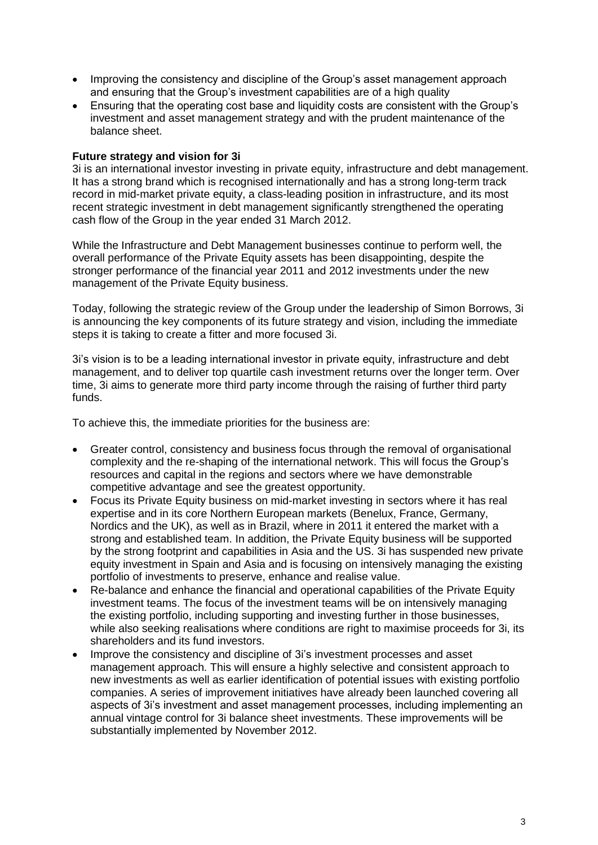- Improving the consistency and discipline of the Group's asset management approach and ensuring that the Group's investment capabilities are of a high quality
- Ensuring that the operating cost base and liquidity costs are consistent with the Group's investment and asset management strategy and with the prudent maintenance of the balance sheet.

### **Future strategy and vision for 3i**

3i is an international investor investing in private equity, infrastructure and debt management. It has a strong brand which is recognised internationally and has a strong long-term track record in mid-market private equity, a class-leading position in infrastructure, and its most recent strategic investment in debt management significantly strengthened the operating cash flow of the Group in the year ended 31 March 2012.

While the Infrastructure and Debt Management businesses continue to perform well, the overall performance of the Private Equity assets has been disappointing, despite the stronger performance of the financial year 2011 and 2012 investments under the new management of the Private Equity business.

Today, following the strategic review of the Group under the leadership of Simon Borrows, 3i is announcing the key components of its future strategy and vision, including the immediate steps it is taking to create a fitter and more focused 3i.

3i's vision is to be a leading international investor in private equity, infrastructure and debt management, and to deliver top quartile cash investment returns over the longer term. Over time, 3i aims to generate more third party income through the raising of further third party funds.

To achieve this, the immediate priorities for the business are:

- Greater control, consistency and business focus through the removal of organisational complexity and the re-shaping of the international network. This will focus the Group's resources and capital in the regions and sectors where we have demonstrable competitive advantage and see the greatest opportunity.
- Focus its Private Equity business on mid-market investing in sectors where it has real expertise and in its core Northern European markets (Benelux, France, Germany, Nordics and the UK), as well as in Brazil, where in 2011 it entered the market with a strong and established team. In addition, the Private Equity business will be supported by the strong footprint and capabilities in Asia and the US. 3i has suspended new private equity investment in Spain and Asia and is focusing on intensively managing the existing portfolio of investments to preserve, enhance and realise value.
- Re-balance and enhance the financial and operational capabilities of the Private Equity investment teams. The focus of the investment teams will be on intensively managing the existing portfolio, including supporting and investing further in those businesses, while also seeking realisations where conditions are right to maximise proceeds for 3i, its shareholders and its fund investors.
- Improve the consistency and discipline of 3i's investment processes and asset management approach. This will ensure a highly selective and consistent approach to new investments as well as earlier identification of potential issues with existing portfolio companies. A series of improvement initiatives have already been launched covering all aspects of 3i's investment and asset management processes, including implementing an annual vintage control for 3i balance sheet investments. These improvements will be substantially implemented by November 2012.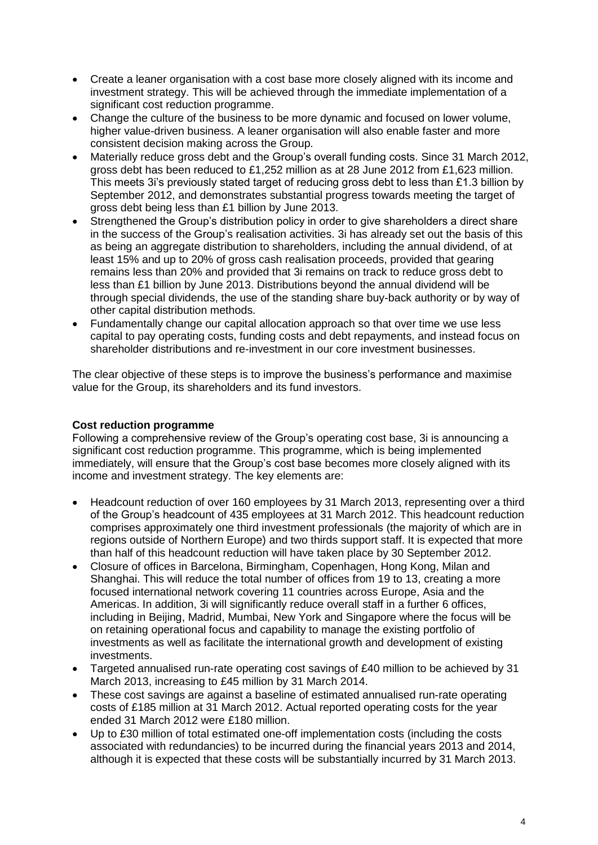- Create a leaner organisation with a cost base more closely aligned with its income and investment strategy. This will be achieved through the immediate implementation of a significant cost reduction programme.
- Change the culture of the business to be more dynamic and focused on lower volume, higher value-driven business. A leaner organisation will also enable faster and more consistent decision making across the Group.
- Materially reduce gross debt and the Group's overall funding costs. Since 31 March 2012, gross debt has been reduced to £1,252 million as at 28 June 2012 from £1,623 million. This meets 3i's previously stated target of reducing gross debt to less than £1.3 billion by September 2012, and demonstrates substantial progress towards meeting the target of gross debt being less than £1 billion by June 2013.
- Strengthened the Group's distribution policy in order to give shareholders a direct share in the success of the Group's realisation activities. 3i has already set out the basis of this as being an aggregate distribution to shareholders, including the annual dividend, of at least 15% and up to 20% of gross cash realisation proceeds, provided that gearing remains less than 20% and provided that 3i remains on track to reduce gross debt to less than £1 billion by June 2013. Distributions beyond the annual dividend will be through special dividends, the use of the standing share buy-back authority or by way of other capital distribution methods.
- Fundamentally change our capital allocation approach so that over time we use less capital to pay operating costs, funding costs and debt repayments, and instead focus on shareholder distributions and re-investment in our core investment businesses.

The clear objective of these steps is to improve the business's performance and maximise value for the Group, its shareholders and its fund investors.

### **Cost reduction programme**

Following a comprehensive review of the Group's operating cost base, 3i is announcing a significant cost reduction programme. This programme, which is being implemented immediately, will ensure that the Group's cost base becomes more closely aligned with its income and investment strategy. The key elements are:

- Headcount reduction of over 160 employees by 31 March 2013, representing over a third of the Group's headcount of 435 employees at 31 March 2012. This headcount reduction comprises approximately one third investment professionals (the majority of which are in regions outside of Northern Europe) and two thirds support staff. It is expected that more than half of this headcount reduction will have taken place by 30 September 2012.
- Closure of offices in Barcelona, Birmingham, Copenhagen, Hong Kong, Milan and Shanghai. This will reduce the total number of offices from 19 to 13, creating a more focused international network covering 11 countries across Europe, Asia and the Americas. In addition, 3i will significantly reduce overall staff in a further 6 offices, including in Beijing, Madrid, Mumbai, New York and Singapore where the focus will be on retaining operational focus and capability to manage the existing portfolio of investments as well as facilitate the international growth and development of existing investments.
- Targeted annualised run-rate operating cost savings of £40 million to be achieved by 31 March 2013, increasing to £45 million by 31 March 2014.
- These cost savings are against a baseline of estimated annualised run-rate operating costs of £185 million at 31 March 2012. Actual reported operating costs for the year ended 31 March 2012 were £180 million.
- Up to £30 million of total estimated one-off implementation costs (including the costs associated with redundancies) to be incurred during the financial years 2013 and 2014, although it is expected that these costs will be substantially incurred by 31 March 2013.